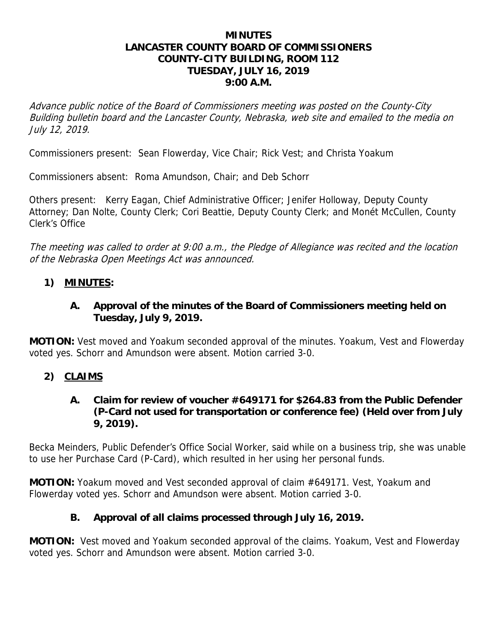#### **MINUTES LANCASTER COUNTY BOARD OF COMMISSIONERS COUNTY-CITY BUILDING, ROOM 112 TUESDAY, JULY 16, 2019 9:00 A.M.**

Advance public notice of the Board of Commissioners meeting was posted on the County-City Building bulletin board and the Lancaster County, Nebraska, web site and emailed to the media on July 12, 2019.

Commissioners present: Sean Flowerday, Vice Chair; Rick Vest; and Christa Yoakum

Commissioners absent: Roma Amundson, Chair; and Deb Schorr

Others present: Kerry Eagan, Chief Administrative Officer; Jenifer Holloway, Deputy County Attorney; Dan Nolte, County Clerk; Cori Beattie, Deputy County Clerk; and Monét McCullen, County Clerk's Office

The meeting was called to order at 9:00 a.m., the Pledge of Allegiance was recited and the location of the Nebraska Open Meetings Act was announced.

### **1) MINUTES:**

### **A. Approval of the minutes of the Board of Commissioners meeting held on Tuesday, July 9, 2019.**

**MOTION:** Vest moved and Yoakum seconded approval of the minutes. Yoakum, Vest and Flowerday voted yes. Schorr and Amundson were absent. Motion carried 3-0.

# **2) CLAIMS**

### **A. Claim for review of voucher #649171 for \$264.83 from the Public Defender (P-Card not used for transportation or conference fee) (Held over from July 9, 2019).**

Becka Meinders, Public Defender's Office Social Worker, said while on a business trip, she was unable to use her Purchase Card (P-Card), which resulted in her using her personal funds.

**MOTION:** Yoakum moved and Vest seconded approval of claim #649171. Vest, Yoakum and Flowerday voted yes. Schorr and Amundson were absent. Motion carried 3-0.

# **B. Approval of all claims processed through July 16, 2019.**

**MOTION:** Vest moved and Yoakum seconded approval of the claims. Yoakum, Vest and Flowerday voted yes. Schorr and Amundson were absent. Motion carried 3-0.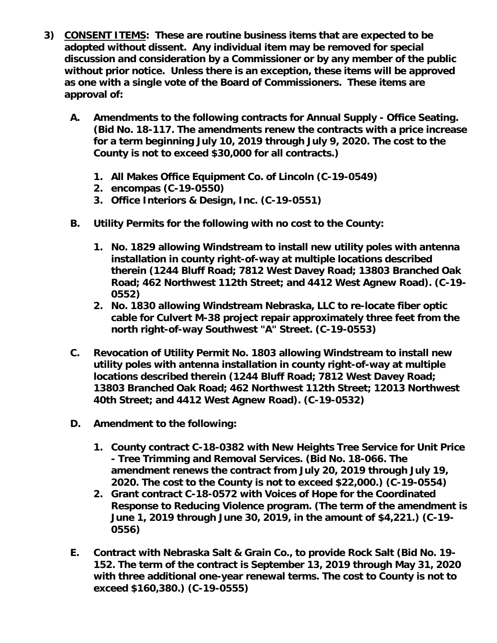- **3) CONSENT ITEMS: These are routine business items that are expected to be adopted without dissent. Any individual item may be removed for special discussion and consideration by a Commissioner or by any member of the public without prior notice. Unless there is an exception, these items will be approved as one with a single vote of the Board of Commissioners. These items are approval of:** 
	- **A. Amendments to the following contracts for Annual Supply Office Seating. (Bid No. 18-117. The amendments renew the contracts with a price increase for a term beginning July 10, 2019 through July 9, 2020. The cost to the County is not to exceed \$30,000 for all contracts.)** 
		- **1. All Makes Office Equipment Co. of Lincoln (C-19-0549)**
		- **2. encompas (C-19-0550)**
		- **3. Office Interiors & Design, Inc. (C-19-0551)**
	- **B. Utility Permits for the following with no cost to the County:** 
		- **1. No. 1829 allowing Windstream to install new utility poles with antenna installation in county right-of-way at multiple locations described therein (1244 Bluff Road; 7812 West Davey Road; 13803 Branched Oak Road; 462 Northwest 112th Street; and 4412 West Agnew Road). (C-19- 0552)**
		- **2. No. 1830 allowing Windstream Nebraska, LLC to re-locate fiber optic cable for Culvert M-38 project repair approximately three feet from the north right-of-way Southwest "A" Street. (C-19-0553)**
	- **C. Revocation of Utility Permit No. 1803 allowing Windstream to install new utility poles with antenna installation in county right-of-way at multiple locations described therein (1244 Bluff Road; 7812 West Davey Road; 13803 Branched Oak Road; 462 Northwest 112th Street; 12013 Northwest 40th Street; and 4412 West Agnew Road). (C-19-0532)**
	- **D. Amendment to the following:** 
		- **1. County contract C-18-0382 with New Heights Tree Service for Unit Price - Tree Trimming and Removal Services. (Bid No. 18-066. The amendment renews the contract from July 20, 2019 through July 19, 2020. The cost to the County is not to exceed \$22,000.) (C-19-0554)**
		- **2. Grant contract C-18-0572 with Voices of Hope for the Coordinated Response to Reducing Violence program. (The term of the amendment is June 1, 2019 through June 30, 2019, in the amount of \$4,221.) (C-19- 0556)**
	- **E. Contract with Nebraska Salt & Grain Co., to provide Rock Salt (Bid No. 19- 152. The term of the contract is September 13, 2019 through May 31, 2020 with three additional one-year renewal terms. The cost to County is not to exceed \$160,380.) (C-19-0555)**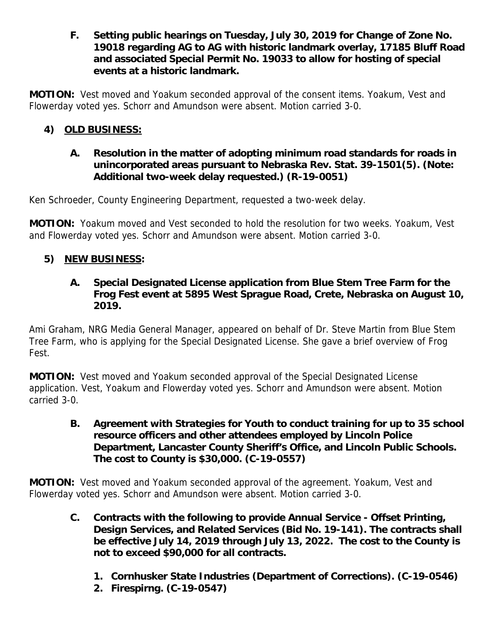**F. Setting public hearings on Tuesday, July 30, 2019 for Change of Zone No. 19018 regarding AG to AG with historic landmark overlay, 17185 Bluff Road and associated Special Permit No. 19033 to allow for hosting of special events at a historic landmark.** 

**MOTION:** Vest moved and Yoakum seconded approval of the consent items. Yoakum, Vest and Flowerday voted yes. Schorr and Amundson were absent. Motion carried 3-0.

# **4) OLD BUSINESS:**

### **A. Resolution in the matter of adopting minimum road standards for roads in unincorporated areas pursuant to Nebraska Rev. Stat. 39-1501(5). (Note: Additional two-week delay requested.) (R-19-0051)**

Ken Schroeder, County Engineering Department, requested a two-week delay.

**MOTION:** Yoakum moved and Vest seconded to hold the resolution for two weeks. Yoakum, Vest and Flowerday voted yes. Schorr and Amundson were absent. Motion carried 3-0.

### **5) NEW BUSINESS:**

### **A. Special Designated License application from Blue Stem Tree Farm for the Frog Fest event at 5895 West Sprague Road, Crete, Nebraska on August 10, 2019.**

Ami Graham, NRG Media General Manager, appeared on behalf of Dr. Steve Martin from Blue Stem Tree Farm, who is applying for the Special Designated License. She gave a brief overview of Frog Fest.

**MOTION:** Vest moved and Yoakum seconded approval of the Special Designated License application. Vest, Yoakum and Flowerday voted yes. Schorr and Amundson were absent. Motion carried 3-0.

**B. Agreement with Strategies for Youth to conduct training for up to 35 school resource officers and other attendees employed by Lincoln Police Department, Lancaster County Sheriff's Office, and Lincoln Public Schools. The cost to County is \$30,000. (C-19-0557)** 

**MOTION:** Vest moved and Yoakum seconded approval of the agreement. Yoakum, Vest and Flowerday voted yes. Schorr and Amundson were absent. Motion carried 3-0.

- **C. Contracts with the following to provide Annual Service Offset Printing, Design Services, and Related Services (Bid No. 19-141). The contracts shall be effective July 14, 2019 through July 13, 2022. The cost to the County is not to exceed \$90,000 for all contracts.** 
	- **1. Cornhusker State Industries (Department of Corrections). (C-19-0546)**
	- **2. Firespirng. (C-19-0547)**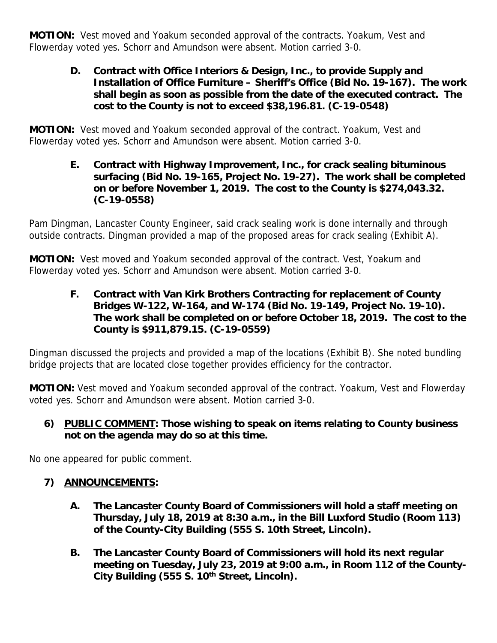**MOTION:** Vest moved and Yoakum seconded approval of the contracts. Yoakum, Vest and Flowerday voted yes. Schorr and Amundson were absent. Motion carried 3-0.

**D. Contract with Office Interiors & Design, Inc., to provide Supply and Installation of Office Furniture – Sheriff's Office (Bid No. 19-167). The work shall begin as soon as possible from the date of the executed contract. The cost to the County is not to exceed \$38,196.81. (C-19-0548)** 

**MOTION:** Vest moved and Yoakum seconded approval of the contract. Yoakum, Vest and Flowerday voted yes. Schorr and Amundson were absent. Motion carried 3-0.

**E. Contract with Highway Improvement, Inc., for crack sealing bituminous surfacing (Bid No. 19-165, Project No. 19-27). The work shall be completed on or before November 1, 2019. The cost to the County is \$274,043.32. (C-19-0558)** 

Pam Dingman, Lancaster County Engineer, said crack sealing work is done internally and through outside contracts. Dingman provided a map of the proposed areas for crack sealing (Exhibit A).

**MOTION:** Vest moved and Yoakum seconded approval of the contract. Vest, Yoakum and Flowerday voted yes. Schorr and Amundson were absent. Motion carried 3-0.

> **F. Contract with Van Kirk Brothers Contracting for replacement of County Bridges W-122, W-164, and W-174 (Bid No. 19-149, Project No. 19-10). The work shall be completed on or before October 18, 2019. The cost to the County is \$911,879.15. (C-19-0559)**

Dingman discussed the projects and provided a map of the locations (Exhibit B). She noted bundling bridge projects that are located close together provides efficiency for the contractor.

**MOTION:** Vest moved and Yoakum seconded approval of the contract. Yoakum, Vest and Flowerday voted yes. Schorr and Amundson were absent. Motion carried 3-0.

### **6) PUBLIC COMMENT: Those wishing to speak on items relating to County business not on the agenda may do so at this time.**

No one appeared for public comment.

# **7) ANNOUNCEMENTS:**

- **A. The Lancaster County Board of Commissioners will hold a staff meeting on Thursday, July 18, 2019 at 8:30 a.m., in the Bill Luxford Studio (Room 113) of the County-City Building (555 S. 10th Street, Lincoln).**
- **B. The Lancaster County Board of Commissioners will hold its next regular meeting on Tuesday, July 23, 2019 at 9:00 a.m., in Room 112 of the County-**City Building (555 S. 10<sup>th</sup> Street, Lincoln).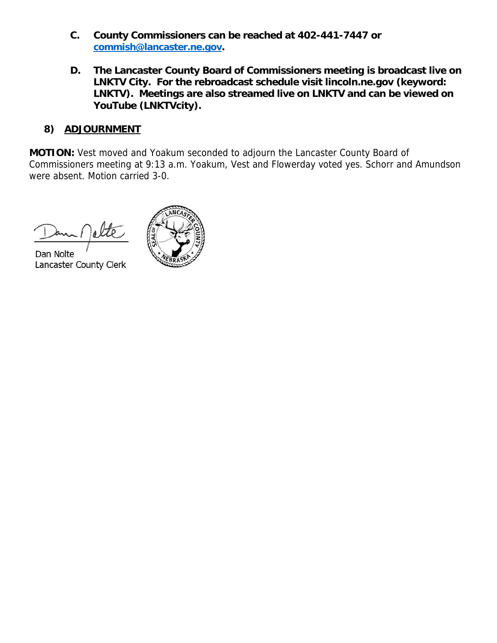- **C. County Commissioners can be reached at 402-441-7447 or commish@lancaster.ne.gov.**
- **D. The Lancaster County Board of Commissioners meeting is broadcast live on LNKTV City. For the rebroadcast schedule visit lincoln.ne.gov (keyword: LNKTV). Meetings are also streamed live on LNKTV and can be viewed on YouTube (LNKTVcity).**

### **8) ADJOURNMENT**

**MOTION:** Vest moved and Yoakum seconded to adjourn the Lancaster County Board of Commissioners meeting at 9:13 a.m. Yoakum, Vest and Flowerday voted yes. Schorr and Amundson were absent. Motion carried 3-0.

Dan Nolte Lancaster County Clerk

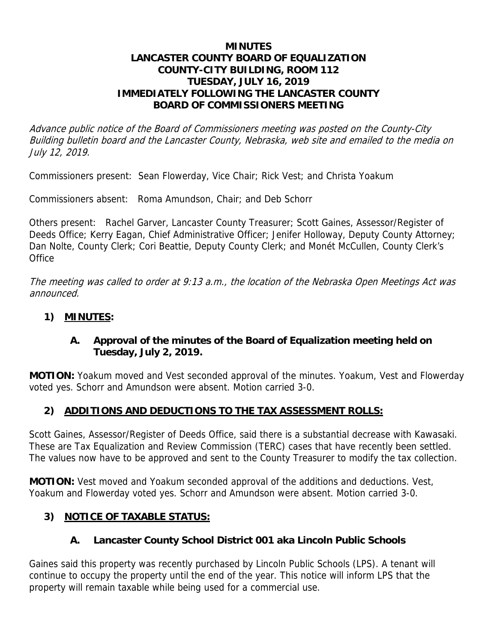#### **MINUTES LANCASTER COUNTY BOARD OF EQUALIZATION COUNTY-CITY BUILDING, ROOM 112 TUESDAY, JULY 16, 2019 IMMEDIATELY FOLLOWING THE LANCASTER COUNTY BOARD OF COMMISSIONERS MEETING**

Advance public notice of the Board of Commissioners meeting was posted on the County-City Building bulletin board and the Lancaster County, Nebraska, web site and emailed to the media on July 12, 2019.

Commissioners present: Sean Flowerday, Vice Chair; Rick Vest; and Christa Yoakum

Commissioners absent: Roma Amundson, Chair; and Deb Schorr

Others present: Rachel Garver, Lancaster County Treasurer; Scott Gaines, Assessor/Register of Deeds Office; Kerry Eagan, Chief Administrative Officer; Jenifer Holloway, Deputy County Attorney; Dan Nolte, County Clerk; Cori Beattie, Deputy County Clerk; and Monét McCullen, County Clerk's **Office** 

The meeting was called to order at 9:13 a.m., the location of the Nebraska Open Meetings Act was announced.

### **1) MINUTES:**

### **A. Approval of the minutes of the Board of Equalization meeting held on Tuesday, July 2, 2019.**

**MOTION:** Yoakum moved and Vest seconded approval of the minutes. Yoakum, Vest and Flowerday voted yes. Schorr and Amundson were absent. Motion carried 3-0.

# **2) ADDITIONS AND DEDUCTIONS TO THE TAX ASSESSMENT ROLLS:**

Scott Gaines, Assessor/Register of Deeds Office, said there is a substantial decrease with Kawasaki. These are Tax Equalization and Review Commission (TERC) cases that have recently been settled. The values now have to be approved and sent to the County Treasurer to modify the tax collection.

**MOTION:** Vest moved and Yoakum seconded approval of the additions and deductions. Vest, Yoakum and Flowerday voted yes. Schorr and Amundson were absent. Motion carried 3-0.

# **3) NOTICE OF TAXABLE STATUS:**

# **A. Lancaster County School District 001 aka Lincoln Public Schools**

Gaines said this property was recently purchased by Lincoln Public Schools (LPS). A tenant will continue to occupy the property until the end of the year. This notice will inform LPS that the property will remain taxable while being used for a commercial use.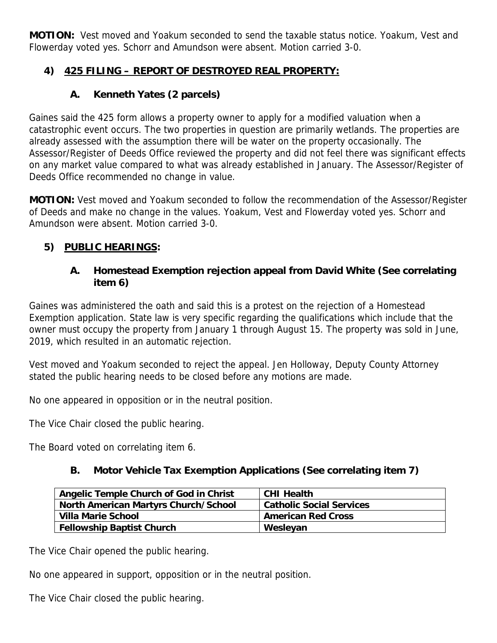**MOTION:** Vest moved and Yoakum seconded to send the taxable status notice. Yoakum, Vest and Flowerday voted yes. Schorr and Amundson were absent. Motion carried 3-0.

# **4) 425 FILING – REPORT OF DESTROYED REAL PROPERTY:**

# **A. Kenneth Yates (2 parcels)**

Gaines said the 425 form allows a property owner to apply for a modified valuation when a catastrophic event occurs. The two properties in question are primarily wetlands. The properties are already assessed with the assumption there will be water on the property occasionally. The Assessor/Register of Deeds Office reviewed the property and did not feel there was significant effects on any market value compared to what was already established in January. The Assessor/Register of Deeds Office recommended no change in value.

**MOTION:** Vest moved and Yoakum seconded to follow the recommendation of the Assessor/Register of Deeds and make no change in the values. Yoakum, Vest and Flowerday voted yes. Schorr and Amundson were absent. Motion carried 3-0.

# **5) PUBLIC HEARINGS:**

### **A. Homestead Exemption rejection appeal from David White (See correlating item 6)**

Gaines was administered the oath and said this is a protest on the rejection of a Homestead Exemption application. State law is very specific regarding the qualifications which include that the owner must occupy the property from January 1 through August 15. The property was sold in June, 2019, which resulted in an automatic rejection.

Vest moved and Yoakum seconded to reject the appeal. Jen Holloway, Deputy County Attorney stated the public hearing needs to be closed before any motions are made.

No one appeared in opposition or in the neutral position.

The Vice Chair closed the public hearing.

The Board voted on correlating item 6.

### **B. Motor Vehicle Tax Exemption Applications (See correlating item 7)**

| Angelic Temple Church of God in Christ      | <b>CHI Health</b>               |
|---------------------------------------------|---------------------------------|
| <b>North American Martyrs Church/School</b> | <b>Catholic Social Services</b> |
| Villa Marie School                          | <b>American Red Cross</b>       |
| <b>Fellowship Baptist Church</b>            | Wesleyan                        |

The Vice Chair opened the public hearing.

No one appeared in support, opposition or in the neutral position.

The Vice Chair closed the public hearing.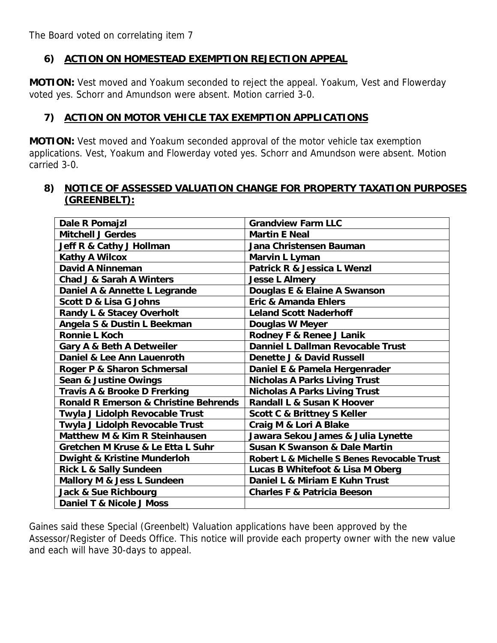The Board voted on correlating item 7

### **6) ACTION ON HOMESTEAD EXEMPTION REJECTION APPEAL**

**MOTION:** Vest moved and Yoakum seconded to reject the appeal. Yoakum, Vest and Flowerday voted yes. Schorr and Amundson were absent. Motion carried 3-0.

#### **7) ACTION ON MOTOR VEHICLE TAX EXEMPTION APPLICATIONS**

**MOTION:** Vest moved and Yoakum seconded approval of the motor vehicle tax exemption applications. Vest, Yoakum and Flowerday voted yes. Schorr and Amundson were absent. Motion carried 3-0.

#### **8) NOTICE OF ASSESSED VALUATION CHANGE FOR PROPERTY TAXATION PURPOSES (GREENBELT):**

| Dale R Pomajzl                                   | <b>Grandview Farm LLC</b>                   |
|--------------------------------------------------|---------------------------------------------|
| <b>Mitchell J Gerdes</b>                         | <b>Martin E Neal</b>                        |
| Jeff R & Cathy J Hollman                         | Jana Christensen Bauman                     |
| <b>Kathy A Wilcox</b>                            | Marvin L Lyman                              |
| David A Ninneman                                 | Patrick R & Jessica L Wenzl                 |
| <b>Chad J &amp; Sarah A Winters</b>              | <b>Jesse L Almery</b>                       |
| Daniel A & Annette L Legrande                    | Douglas E & Elaine A Swanson                |
| <b>Scott D &amp; Lisa G Johns</b>                | <b>Eric &amp; Amanda Ehlers</b>             |
| <b>Randy L &amp; Stacey Overholt</b>             | <b>Leland Scott Naderhoff</b>               |
| Angela S & Dustin L Beekman                      | <b>Douglas W Meyer</b>                      |
| <b>Ronnie L Koch</b>                             | Rodney F & Renee J Lanik                    |
| Gary A & Beth A Detweiler                        | Danniel L Dallman Revocable Trust           |
| Daniel & Lee Ann Lauenroth                       | <b>Denette J &amp; David Russell</b>        |
| Roger P & Sharon Schmersal                       | Daniel E & Pamela Hergenrader               |
| Sean & Justine Owings                            | <b>Nicholas A Parks Living Trust</b>        |
| Travis A & Brooke D Frerking                     | <b>Nicholas A Parks Living Trust</b>        |
| <b>Ronald R Emerson &amp; Christine Behrends</b> | <b>Randall L &amp; Susan K Hoover</b>       |
| Twyla J Lidolph Revocable Trust                  | <b>Scott C &amp; Brittney S Keller</b>      |
| Twyla J Lidolph Revocable Trust                  | Craig M & Lori A Blake                      |
| Matthew M & Kim R Steinhausen                    | Jawara Sekou James & Julia Lynette          |
| Gretchen M Kruse & Le Etta L Suhr                | <b>Susan K Swanson &amp; Dale Martin</b>    |
| <b>Dwight &amp; Kristine Munderloh</b>           | Robert L & Michelle S Benes Revocable Trust |
| <b>Rick L &amp; Sally Sundeen</b>                | Lucas B Whitefoot & Lisa M Oberg            |
| Mallory M & Jess L Sundeen                       | Daniel L & Miriam E Kuhn Trust              |
| <b>Jack &amp; Sue Richbourg</b>                  | <b>Charles F &amp; Patricia Beeson</b>      |
| Daniel T & Nicole J Moss                         |                                             |

Gaines said these Special (Greenbelt) Valuation applications have been approved by the Assessor/Register of Deeds Office. This notice will provide each property owner with the new value and each will have 30-days to appeal.